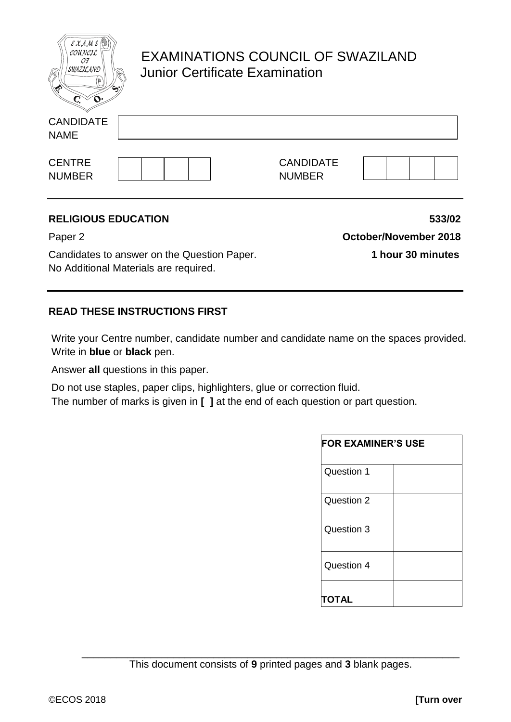

# *COUNCIL* **EXAMINATIONS COUNCIL OF SWAZILAND**<br>SWAZILAND Junior Certificate Examination

| $\mathord{\sim}$<br><b>CANDIDATE</b><br><b>NAME</b> |                                   |  |
|-----------------------------------------------------|-----------------------------------|--|
| <b>CENTRE</b><br><b>NUMBER</b>                      | <b>CANDIDATE</b><br><b>NUMBER</b> |  |

#### **RELIGIOUS EDUCATION 533/02**

Candidates to answer on the Question Paper. **1 hour 30 minutes** No Additional Materials are required.

Paper 2 **October/November 2018**

### **READ THESE INSTRUCTIONS FIRST**

Write your Centre number, candidate number and candidate name on the spaces provided. Write in **blue** or **black** pen.

Answer **all** questions in this paper.

Do not use staples, paper clips, highlighters, glue or correction fluid. The number of marks is given in **[ ]** at the end of each question or part question.

| <b>FOR EXAMINER'S USE</b> |  |  |
|---------------------------|--|--|
| <b>Question 1</b>         |  |  |
| Question 2                |  |  |
| Question 3                |  |  |
| Question 4                |  |  |
| ΠΟΤΑL                     |  |  |

\_\_\_\_\_\_\_\_\_\_\_\_\_\_\_\_\_\_\_\_\_\_\_\_\_\_\_\_\_\_\_\_\_\_\_\_\_\_\_\_\_\_\_\_\_\_\_\_\_\_\_\_\_\_\_\_\_\_\_\_\_\_\_\_\_\_ This document consists of **9** printed pages and **3** blank pages.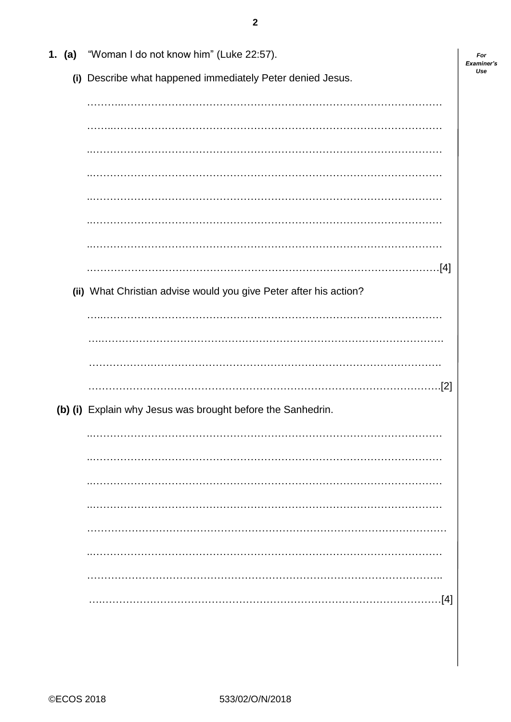"Woman I do not know him" (Luke 22:57).  $1.$  (a) (i) Describe what happened immediately Peter denied Jesus. (ii) What Christian advise would you give Peter after his action? (b) (i) Explain why Jesus was brought before the Sanhedrin. 

 $\overline{2}$ 

For Examiner's  $_{IIso}$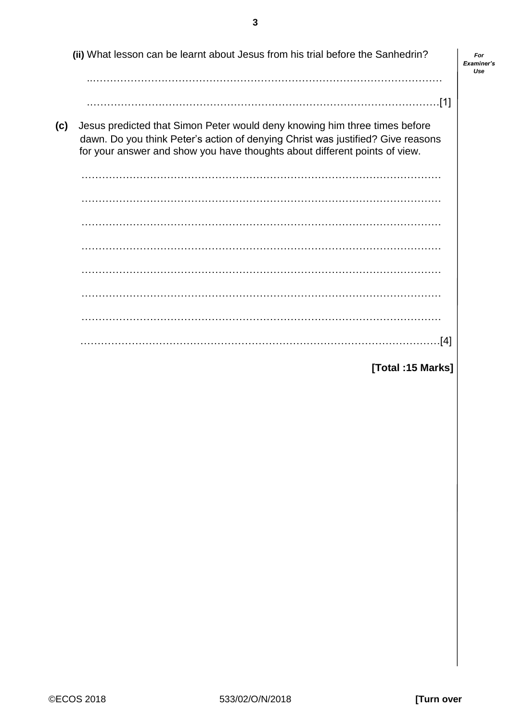**3**

|     | (ii) What lesson can be learnt about Jesus from his trial before the Sanhedrin?                                                                                                                                                             | For<br>Examiner's<br>Use |
|-----|---------------------------------------------------------------------------------------------------------------------------------------------------------------------------------------------------------------------------------------------|--------------------------|
|     |                                                                                                                                                                                                                                             |                          |
| (c) | Jesus predicted that Simon Peter would deny knowing him three times before<br>dawn. Do you think Peter's action of denying Christ was justified? Give reasons<br>for your answer and show you have thoughts about different points of view. |                          |
|     |                                                                                                                                                                                                                                             |                          |
|     |                                                                                                                                                                                                                                             |                          |
|     |                                                                                                                                                                                                                                             |                          |
|     |                                                                                                                                                                                                                                             |                          |
|     |                                                                                                                                                                                                                                             |                          |
|     |                                                                                                                                                                                                                                             |                          |
|     |                                                                                                                                                                                                                                             |                          |
|     | $[4]$                                                                                                                                                                                                                                       |                          |

 **[Total :15 Marks]**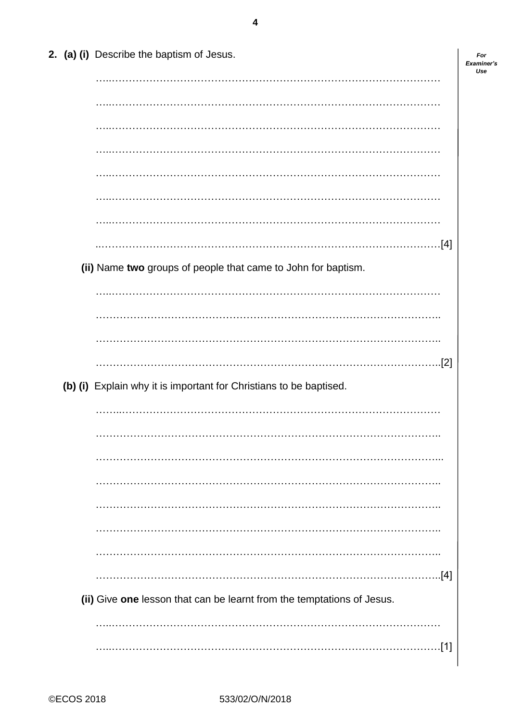|  | 2. (a) (i) Describe the baptism of Jesus.                              |
|--|------------------------------------------------------------------------|
|  |                                                                        |
|  |                                                                        |
|  |                                                                        |
|  |                                                                        |
|  |                                                                        |
|  |                                                                        |
|  | $\ldots$ . [4]                                                         |
|  | (ii) Name two groups of people that came to John for baptism.          |
|  |                                                                        |
|  |                                                                        |
|  |                                                                        |
|  | $\dots$ [2]                                                            |
|  | (b) (i) Explain why it is important for Christians to be baptised.     |
|  |                                                                        |
|  |                                                                        |
|  |                                                                        |
|  |                                                                        |
|  |                                                                        |
|  |                                                                        |
|  |                                                                        |
|  | [4]                                                                    |
|  | (ii) Give one lesson that can be learnt from the temptations of Jesus. |
|  |                                                                        |
|  | $\ldots$ [1]                                                           |

 $\overline{\mathbf{4}}$ 

For Examiner's Use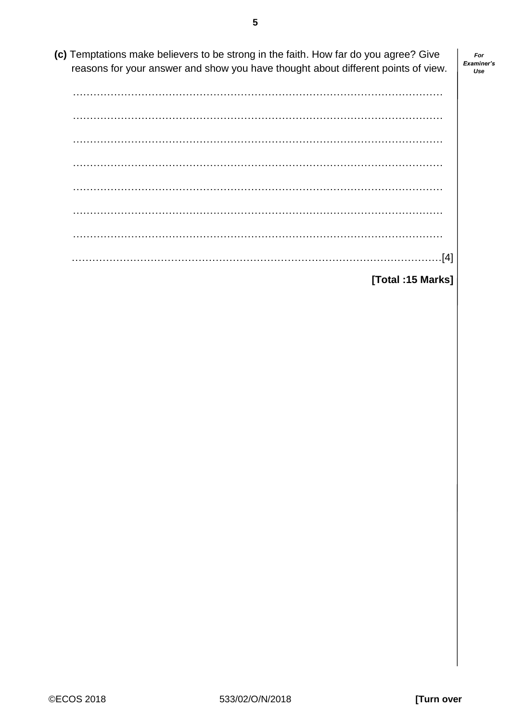**(c)** Temptations make believers to be strong in the faith. How far do you agree? Give reasons for your answer and show you have thought about different points of view.

 ……………………………………………………………………………………………… ……………………………………………………………………………………………… ……………………………………………………………………………………………… ……………………………………………………………………………………………… ……………………………………………………………………………………………… ……………………………………………………………………………………………… ……………………………………………………………………………………………… ………………………………………………………………………………………………[4]

 **[Total :15 Marks]**

*For Examiner's Use*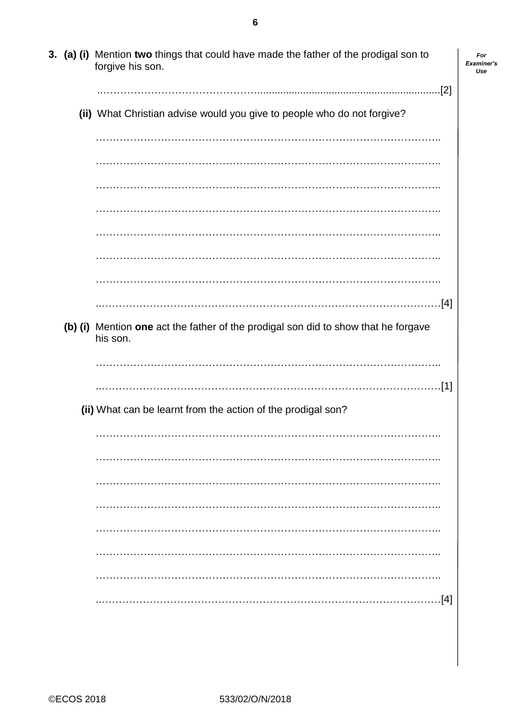| 3. (a) (i) Mention two things that could have made the father of the prodigal son to<br>forgive his son. | For<br><b>Examiner's</b><br>Use |
|----------------------------------------------------------------------------------------------------------|---------------------------------|
|                                                                                                          |                                 |
| (ii) What Christian advise would you give to people who do not forgive?                                  |                                 |
|                                                                                                          |                                 |
|                                                                                                          |                                 |
|                                                                                                          |                                 |
|                                                                                                          |                                 |
|                                                                                                          |                                 |
|                                                                                                          |                                 |
| (b) (i) Mention one act the father of the prodigal son did to show that he forgave                       |                                 |
| his son.                                                                                                 |                                 |
|                                                                                                          |                                 |
| (ii) What can be learnt from the action of the prodigal son?                                             |                                 |
|                                                                                                          |                                 |
|                                                                                                          |                                 |
|                                                                                                          |                                 |
|                                                                                                          |                                 |
|                                                                                                          |                                 |
|                                                                                                          |                                 |
|                                                                                                          |                                 |

 $\boldsymbol{6}$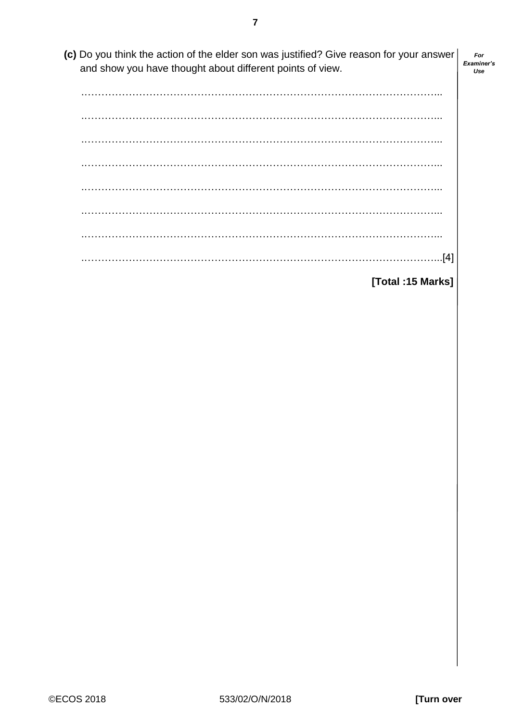*For Examiner's Use*  **(c)** Do you think the action of the elder son was justified? Give reason for your answer and show you have thought about different points of view.

 .…………………………………………………………………………………………... .…………………………………………………………………………………………... .…………………………………………………………………………………………... .…………………………………………………………………………………………... .…………………………………………………………………………………………... .…………………………………………………………………………………………... .…………………………………………………………………………………………... .…………………………………………………………………………………………...[4]

 **[Total :15 Marks]**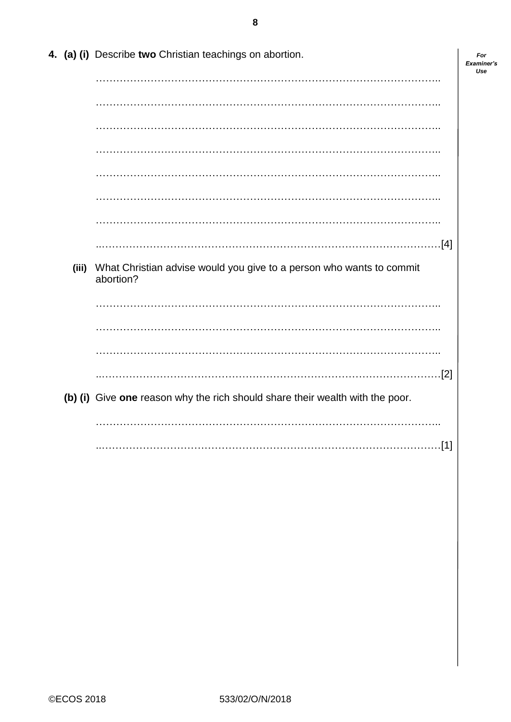(iii) What Christian advise would you give to a person who wants to commit abortion? (b) (i) Give one reason why the rich should share their wealth with the poor. 

8

For Examiner's  $11$ se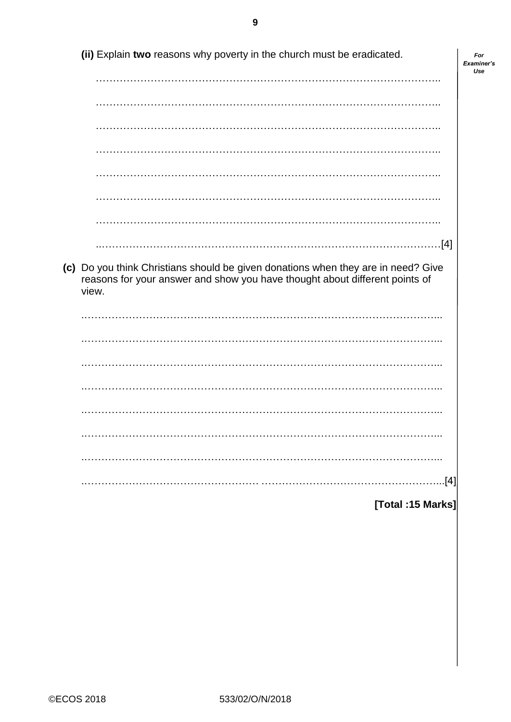$\boldsymbol{9}$ 

| (ii) Explain two reasons why poverty in the church must be eradicated.               | For<br>Examiner's<br>Use |
|--------------------------------------------------------------------------------------|--------------------------|
|                                                                                      |                          |
|                                                                                      |                          |
|                                                                                      |                          |
|                                                                                      |                          |
|                                                                                      |                          |
|                                                                                      |                          |
|                                                                                      |                          |
| [4]                                                                                  |                          |
| reasons for your answer and show you have thought about different points of<br>view. |                          |
|                                                                                      |                          |
|                                                                                      |                          |
|                                                                                      |                          |
|                                                                                      |                          |
|                                                                                      |                          |
|                                                                                      |                          |
|                                                                                      |                          |
| [Total :15 Marks]                                                                    |                          |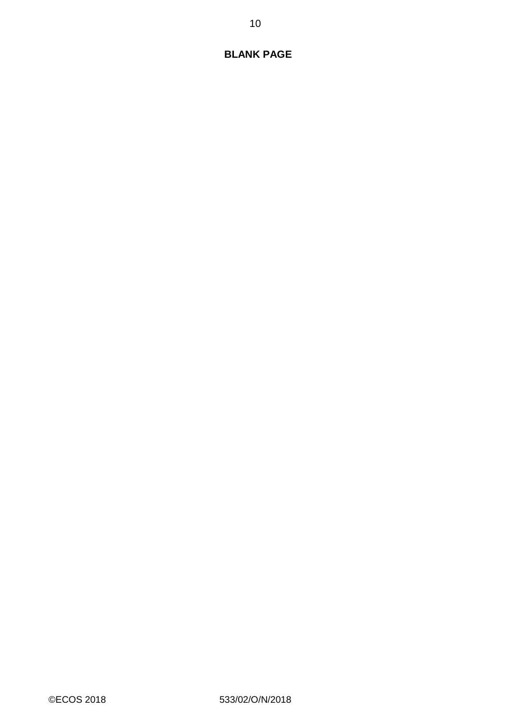### **BLANK PAGE**

 $10$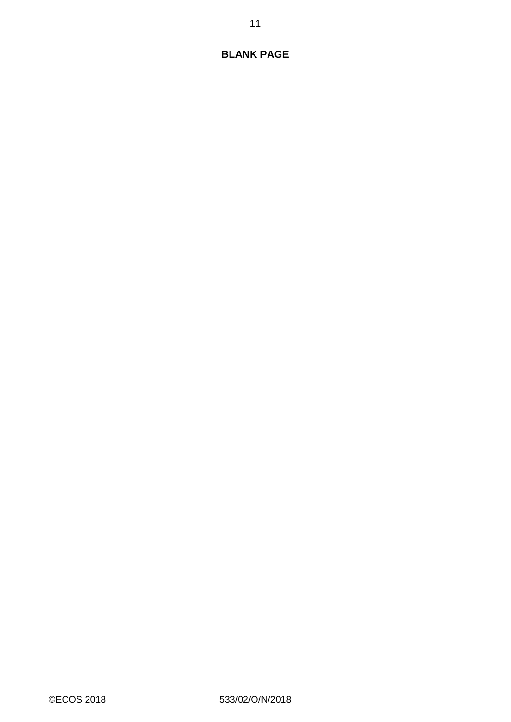## **BLANK PAGE**